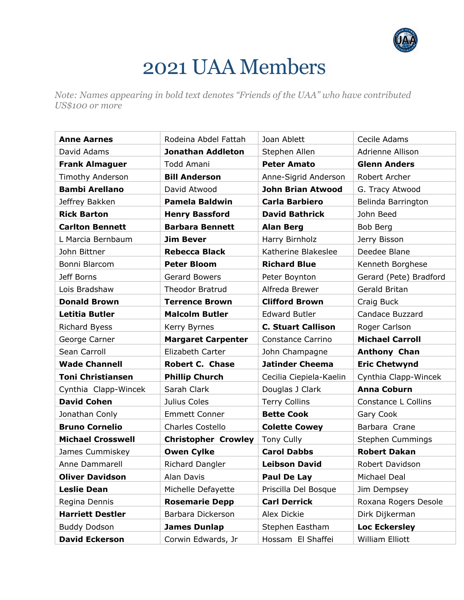

## 2021 UAA Members

*Note: Names appearing in bold text denotes "Friends of the UAA" who have contributed US\$100 or more*

| <b>Anne Aarnes</b>       | Rodeina Abdel Fattah       | Joan Ablett               | Cecile Adams            |
|--------------------------|----------------------------|---------------------------|-------------------------|
| David Adams              | <b>Jonathan Addleton</b>   | Stephen Allen             | Adrienne Allison        |
| <b>Frank Almaguer</b>    | <b>Todd Amani</b>          | <b>Peter Amato</b>        | <b>Glenn Anders</b>     |
| Timothy Anderson         | <b>Bill Anderson</b>       | Anne-Sigrid Anderson      | Robert Archer           |
| <b>Bambi Arellano</b>    | David Atwood               | <b>John Brian Atwood</b>  | G. Tracy Atwood         |
| Jeffrey Bakken           | <b>Pamela Baldwin</b>      | <b>Carla Barbiero</b>     | Belinda Barrington      |
| <b>Rick Barton</b>       | <b>Henry Bassford</b>      | <b>David Bathrick</b>     | John Beed               |
| <b>Carlton Bennett</b>   | <b>Barbara Bennett</b>     | <b>Alan Berg</b>          | Bob Berg                |
| L Marcia Bernbaum        | <b>Jim Bever</b>           | Harry Birnholz            | Jerry Bisson            |
| John Bittner             | <b>Rebecca Black</b>       | Katherine Blakeslee       | Deedee Blane            |
| Bonni Blarcom            | <b>Peter Bloom</b>         | <b>Richard Blue</b>       | Kenneth Borghese        |
| Jeff Borns               | <b>Gerard Bowers</b>       | Peter Boynton             | Gerard (Pete) Bradford  |
| Lois Bradshaw            | <b>Theodor Bratrud</b>     | Alfreda Brewer            | Gerald Britan           |
| <b>Donald Brown</b>      | <b>Terrence Brown</b>      | <b>Clifford Brown</b>     | Craig Buck              |
| <b>Letitia Butler</b>    | <b>Malcolm Butler</b>      | <b>Edward Butler</b>      | Candace Buzzard         |
| <b>Richard Byess</b>     | Kerry Byrnes               | <b>C. Stuart Callison</b> | Roger Carlson           |
| George Carner            | <b>Margaret Carpenter</b>  | Constance Carrino         | <b>Michael Carroll</b>  |
| Sean Carroll             | Elizabeth Carter           | John Champagne            | <b>Anthony Chan</b>     |
| <b>Wade Channell</b>     | <b>Robert C. Chase</b>     | <b>Jatinder Cheema</b>    | <b>Eric Chetwynd</b>    |
| <b>Toni Christiansen</b> | <b>Phillip Church</b>      | Cecilia Ciepiela-Kaelin   | Cynthia Clapp-Wincek    |
| Cynthia Clapp-Wincek     | Sarah Clark                | Douglas J Clark           | <b>Anna Coburn</b>      |
| <b>David Cohen</b>       | Julius Coles               | <b>Terry Collins</b>      | Constance L Collins     |
| Jonathan Conly           | <b>Emmett Conner</b>       | <b>Bette Cook</b>         | Gary Cook               |
| <b>Bruno Cornelio</b>    | <b>Charles Costello</b>    | <b>Colette Cowey</b>      | Barbara Crane           |
| <b>Michael Crosswell</b> | <b>Christopher Crowley</b> | <b>Tony Cully</b>         | <b>Stephen Cummings</b> |
| James Cummiskey          | <b>Owen Cylke</b>          | <b>Carol Dabbs</b>        | <b>Robert Dakan</b>     |
| Anne Dammarell           | Richard Dangler            | <b>Leibson David</b>      | Robert Davidson         |
| <b>Oliver Davidson</b>   | Alan Davis                 | Paul De Lay               | Michael Deal            |
| <b>Leslie Dean</b>       | Michelle Defayette         | Priscilla Del Bosque      | Jim Dempsey             |
| Regina Dennis            | <b>Rosemarie Depp</b>      | <b>Carl Derrick</b>       | Roxana Rogers Desole    |
| <b>Harriett Destler</b>  | Barbara Dickerson          | Alex Dickie               | Dirk Dijkerman          |
| <b>Buddy Dodson</b>      | <b>James Dunlap</b>        | Stephen Eastham           | <b>Loc Eckersley</b>    |
| <b>David Eckerson</b>    | Corwin Edwards, Jr         | Hossam El Shaffei         | William Elliott         |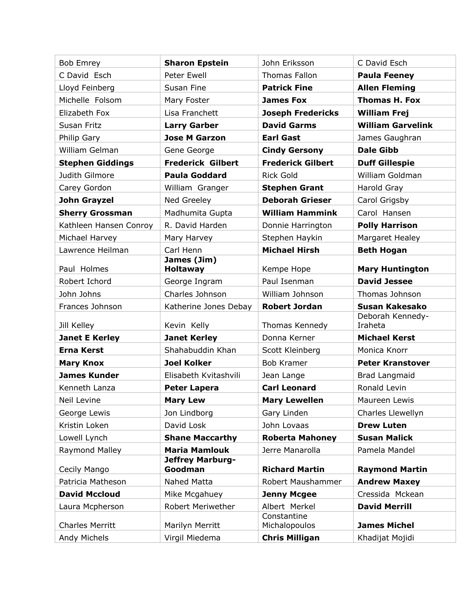| Bob Emrey                              | <b>Sharon Epstein</b>             | John Eriksson                          | C David Esch                           |
|----------------------------------------|-----------------------------------|----------------------------------------|----------------------------------------|
| C David Esch                           | Peter Ewell                       | <b>Thomas Fallon</b>                   | <b>Paula Feeney</b>                    |
| Lloyd Feinberg                         | Susan Fine                        | <b>Patrick Fine</b>                    | <b>Allen Fleming</b>                   |
| Michelle Folsom                        | Mary Foster                       | <b>James Fox</b>                       | <b>Thomas H. Fox</b>                   |
| Elizabeth Fox                          | Lisa Franchett                    | <b>Joseph Fredericks</b>               | <b>William Frej</b>                    |
| Susan Fritz                            | <b>Larry Garber</b>               | <b>David Garms</b>                     | <b>William Garvelink</b>               |
| Philip Gary                            | <b>Jose M Garzon</b>              | <b>Earl Gast</b>                       | James Gaughran                         |
| William Gelman                         | Gene George                       | <b>Cindy Gersony</b>                   | <b>Dale Gibb</b>                       |
| <b>Stephen Giddings</b>                | <b>Frederick Gilbert</b>          | <b>Frederick Gilbert</b>               | <b>Duff Gillespie</b>                  |
| Judith Gilmore                         | <b>Paula Goddard</b>              | <b>Rick Gold</b>                       | William Goldman                        |
| Carey Gordon                           | William Granger                   | <b>Stephen Grant</b>                   | Harold Gray                            |
| John Grayzel                           | Ned Greeley                       | <b>Deborah Grieser</b>                 | Carol Grigsby                          |
| <b>Sherry Grossman</b>                 | Madhumita Gupta                   | <b>William Hammink</b>                 | Carol Hansen                           |
| Kathleen Hansen Conroy                 | R. David Harden                   | Donnie Harrington                      | <b>Polly Harrison</b>                  |
| Michael Harvey                         | Mary Harvey                       | Stephen Haykin                         | Margaret Healey                        |
| Lawrence Heilman                       | Carl Henn                         | <b>Michael Hirsh</b>                   | <b>Beth Hogan</b>                      |
| Paul Holmes                            | James (Jim)<br><b>Holtaway</b>    | Kempe Hope                             | <b>Mary Huntington</b>                 |
| Robert Ichord                          | George Ingram                     | Paul Isenman                           | <b>David Jessee</b>                    |
| John Johns                             | Charles Johnson                   | William Johnson                        | Thomas Johnson                         |
| Frances Johnson                        | Katherine Jones Debay             | <b>Robert Jordan</b>                   | Susan Kakesako                         |
|                                        |                                   |                                        | Deborah Kennedy-                       |
|                                        |                                   |                                        |                                        |
| Jill Kelley                            | Kevin Kelly                       | Thomas Kennedy                         | Iraheta                                |
| <b>Janet E Kerley</b>                  | <b>Janet Kerley</b>               | Donna Kerner                           | <b>Michael Kerst</b>                   |
| <b>Erna Kerst</b>                      | Shahabuddin Khan                  | Scott Kleinberg                        | Monica Knorr                           |
| <b>Mary Knox</b>                       | <b>Joel Kolker</b>                | <b>Bob Kramer</b>                      | <b>Peter Kranstover</b>                |
| <b>James Kunder</b>                    | Elisabeth Kvitashvili             | Jean Lange                             | <b>Brad Langmaid</b>                   |
| Kenneth Lanza                          | <b>Peter Lapera</b>               | <b>Carl Leonard</b>                    | Ronald Levin                           |
| Neil Levine                            | <b>Mary Lew</b>                   | <b>Mary Lewellen</b>                   | Maureen Lewis                          |
| George Lewis                           | Jon Lindborg                      | Gary Linden                            | Charles Llewellyn                      |
| Kristin Loken                          | David Losk                        | John Lovaas                            | <b>Drew Luten</b>                      |
| Lowell Lynch                           | <b>Shane Maccarthy</b>            | <b>Roberta Mahoney</b>                 | <b>Susan Malick</b>                    |
| Raymond Malley                         | <b>Maria Mamlouk</b>              | Jerre Manarolla                        | Pamela Mandel                          |
|                                        | <b>Jeffrey Marburg-</b>           |                                        |                                        |
| Cecily Mango                           | Goodman                           | <b>Richard Martin</b>                  | <b>Raymond Martin</b>                  |
| Patricia Matheson                      | Nahed Matta                       | Robert Maushammer                      | <b>Andrew Maxey</b>                    |
| <b>David Mccloud</b>                   | Mike Mcgahuey                     | <b>Jenny Mcgee</b>                     | Cressida Mckean                        |
| Laura Mcpherson                        | Robert Meriwether                 | Albert Merkel<br>Constantine           | <b>David Merrill</b>                   |
| <b>Charles Merritt</b><br>Andy Michels | Marilyn Merritt<br>Virgil Miedema | Michalopoulos<br><b>Chris Milligan</b> | <b>James Michel</b><br>Khadijat Mojidi |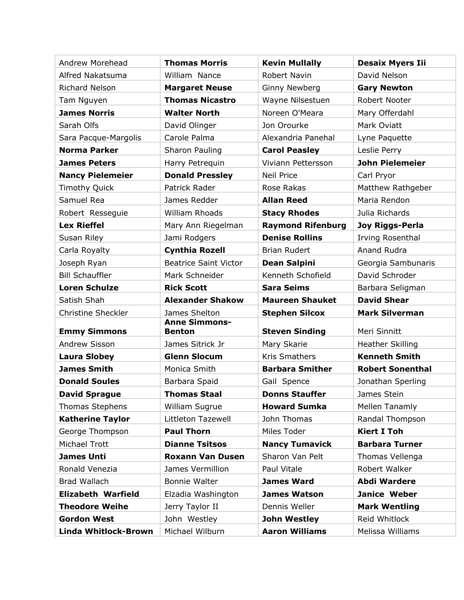| Andrew Morehead           | <b>Thomas Morris</b>                  | <b>Kevin Mullally</b>                        | <b>Desaix Myers Iii</b>       |
|---------------------------|---------------------------------------|----------------------------------------------|-------------------------------|
| Alfred Nakatsuma          | William Nance                         | Robert Navin                                 | David Nelson                  |
| Richard Nelson            | <b>Margaret Neuse</b>                 | <b>Ginny Newberg</b>                         | <b>Gary Newton</b>            |
| Tam Nguyen                | <b>Thomas Nicastro</b>                | Wayne Nilsestuen                             | Robert Nooter                 |
| <b>James Norris</b>       | <b>Walter North</b>                   | Noreen O'Meara                               | Mary Offerdahl                |
| Sarah Olfs                | David Olinger                         | Jon Orourke                                  | Mark Oviatt                   |
| Sara Pacque-Margolis      | Carole Palma                          | Alexandria Panehal                           | Lyne Paquette                 |
| <b>Norma Parker</b>       | Sharon Pauling                        | <b>Carol Peasley</b>                         | Leslie Perry                  |
| <b>James Peters</b>       | Harry Petrequin                       | Viviann Pettersson                           | <b>John Pielemeier</b>        |
| <b>Nancy Pielemeier</b>   | <b>Donald Pressley</b>                | <b>Neil Price</b>                            | Carl Pryor                    |
| <b>Timothy Quick</b>      | Patrick Rader                         | Rose Rakas                                   | Matthew Rathgeber             |
| Samuel Rea                | James Redder                          | <b>Allan Reed</b>                            | Maria Rendon                  |
| Robert Ressequie          | <b>William Rhoads</b>                 | <b>Stacy Rhodes</b>                          | Julia Richards                |
| <b>Lex Rieffel</b>        | Mary Ann Riegelman                    | <b>Raymond Rifenburg</b>                     | <b>Joy Riggs-Perla</b>        |
| Susan Riley               | Jami Rodgers                          | <b>Denise Rollins</b>                        | Irving Rosenthal              |
| Carla Royalty             | <b>Cynthia Rozell</b>                 | <b>Brian Rudert</b>                          | Anand Rudra                   |
| Joseph Ryan               | <b>Beatrice Saint Victor</b>          | Dean Salpini                                 | Georgia Sambunaris            |
| <b>Bill Schauffler</b>    | Mark Schneider                        | Kenneth Schofield                            | David Schroder                |
| <b>Loren Schulze</b>      | <b>Rick Scott</b>                     | <b>Sara Seims</b>                            | Barbara Seligman              |
| Satish Shah               | <b>Alexander Shakow</b>               | <b>Maureen Shauket</b>                       | <b>David Shear</b>            |
| <b>Christine Sheckler</b> | James Shelton                         | <b>Stephen Silcox</b>                        | <b>Mark Silverman</b>         |
| <b>Emmy Simmons</b>       | <b>Anne Simmons-</b><br><b>Benton</b> | <b>Steven Sinding</b>                        | Meri Sinnitt                  |
| Andrew Sisson             | James Sitrick Jr                      | Mary Skarie                                  | <b>Heather Skilling</b>       |
| <b>Laura Slobey</b>       | <b>Glenn Slocum</b>                   | Kris Smathers                                | <b>Kenneth Smith</b>          |
| <b>James Smith</b>        | Monica Smith                          | <b>Barbara Smither</b>                       | <b>Robert Sonenthal</b>       |
| <b>Donald Soules</b>      | Barbara Spaid                         | Gail Spence                                  | Jonathan Sperling             |
| <b>David Sprague</b>      |                                       |                                              |                               |
|                           |                                       |                                              |                               |
| Thomas Stephens           | Thomas Staal<br>William Sugrue        | <b>Donns Stauffer</b><br><b>Howard Sumka</b> | James Stein<br>Mellen Tanamly |
| <b>Katherine Taylor</b>   | Littleton Tazewell                    | John Thomas                                  | Randal Thompson               |
| George Thompson           | <b>Paul Thorn</b>                     | Miles Toder                                  | <b>Kiert I Toh</b>            |
| Michael Trott             | <b>Dianne Tsitsos</b>                 | <b>Nancy Tumavick</b>                        | <b>Barbara Turner</b>         |
| <b>James Unti</b>         | <b>Roxann Van Dusen</b>               | Sharon Van Pelt                              | Thomas Vellenga               |
| Ronald Venezia            | James Vermillion                      | Paul Vitale                                  | Robert Walker                 |
| Brad Wallach              | Bonnie Walter                         | <b>James Ward</b>                            | <b>Abdi Wardere</b>           |
| <b>Elizabeth Warfield</b> | Elzadia Washington                    | <b>James Watson</b>                          | Janice Weber                  |
| <b>Theodore Weihe</b>     | Jerry Taylor II                       | Dennis Weller                                | <b>Mark Wentling</b>          |
| <b>Gordon West</b>        | John Westley                          | <b>John Westley</b>                          | Reid Whitlock                 |